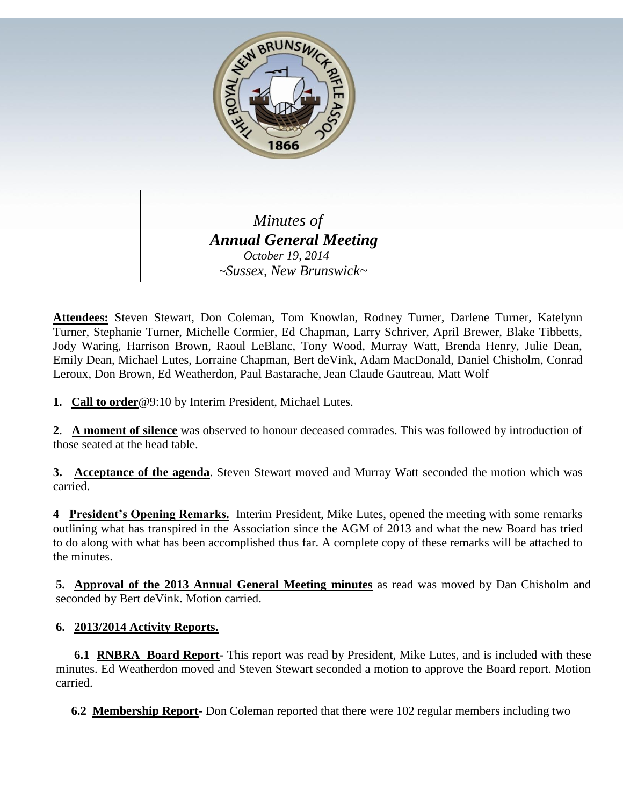

 *Minutes of Annual General Meeting October 19, 2014 ~Sussex, New Brunswick~*

**Attendees:** Steven Stewart, Don Coleman, Tom Knowlan, Rodney Turner, Darlene Turner, Katelynn Turner, Stephanie Turner, Michelle Cormier, Ed Chapman, Larry Schriver, April Brewer, Blake Tibbetts, Jody Waring, Harrison Brown, Raoul LeBlanc, Tony Wood, Murray Watt, Brenda Henry, Julie Dean, Emily Dean, Michael Lutes, Lorraine Chapman, Bert deVink, Adam MacDonald, Daniel Chisholm, Conrad Leroux, Don Brown, Ed Weatherdon, Paul Bastarache, Jean Claude Gautreau, Matt Wolf

**1. Call to order**@9:10 by Interim President, Michael Lutes.

**2**. **A moment of silence** was observed to honour deceased comrades. This was followed by introduction of those seated at the head table.

**3. Acceptance of the agenda**. Steven Stewart moved and Murray Watt seconded the motion which was carried.

**4 President's Opening Remarks.** Interim President, Mike Lutes, opened the meeting with some remarks outlining what has transpired in the Association since the AGM of 2013 and what the new Board has tried to do along with what has been accomplished thus far. A complete copy of these remarks will be attached to the minutes.

**5. Approval of the 2013 Annual General Meeting minutes** as read was moved by Dan Chisholm and seconded by Bert deVink. Motion carried.

## **6. 2013/2014 Activity Reports.**

 **6.1 RNBRA Board Report-** This report was read by President, Mike Lutes, and is included with these minutes. Ed Weatherdon moved and Steven Stewart seconded a motion to approve the Board report. Motion carried.

 **6.2 Membership Report-** Don Coleman reported that there were 102 regular members including two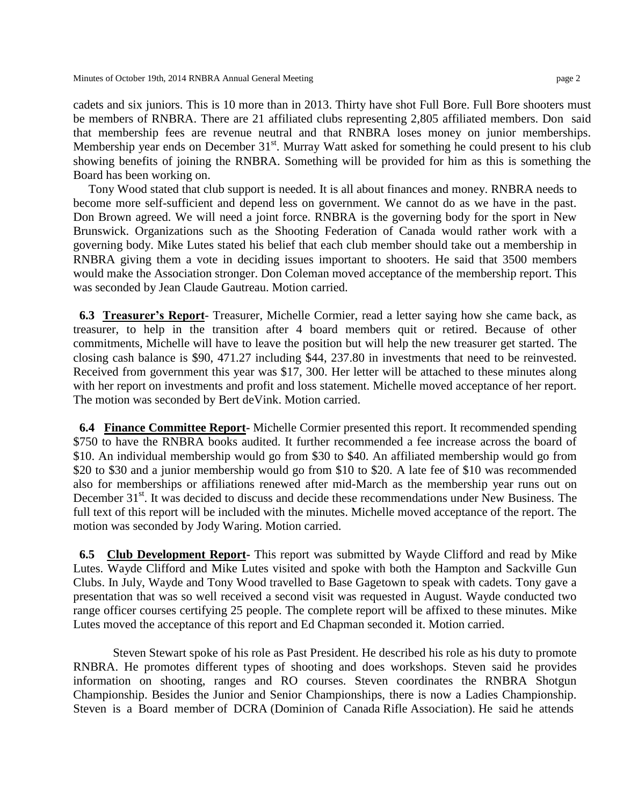cadets and six juniors. This is 10 more than in 2013. Thirty have shot Full Bore. Full Bore shooters must be members of RNBRA. There are 21 affiliated clubs representing 2,805 affiliated members. Don said that membership fees are revenue neutral and that RNBRA loses money on junior memberships. Membership year ends on December 31<sup>st</sup>. Murray Watt asked for something he could present to his club showing benefits of joining the RNBRA. Something will be provided for him as this is something the Board has been working on.

 Tony Wood stated that club support is needed. It is all about finances and money. RNBRA needs to become more self-sufficient and depend less on government. We cannot do as we have in the past. Don Brown agreed. We will need a joint force. RNBRA is the governing body for the sport in New Brunswick. Organizations such as the Shooting Federation of Canada would rather work with a governing body. Mike Lutes stated his belief that each club member should take out a membership in RNBRA giving them a vote in deciding issues important to shooters. He said that 3500 members would make the Association stronger. Don Coleman moved acceptance of the membership report. This was seconded by Jean Claude Gautreau. Motion carried.

 **6.3 Treasurer's Report**- Treasurer, Michelle Cormier, read a letter saying how she came back, as treasurer, to help in the transition after 4 board members quit or retired. Because of other commitments, Michelle will have to leave the position but will help the new treasurer get started. The closing cash balance is \$90, 471.27 including \$44, 237.80 in investments that need to be reinvested. Received from government this year was \$17, 300. Her letter will be attached to these minutes along with her report on investments and profit and loss statement. Michelle moved acceptance of her report. The motion was seconded by Bert deVink. Motion carried.

 **6.4 Finance Committee Report-** Michelle Cormier presented this report. It recommended spending \$750 to have the RNBRA books audited. It further recommended a fee increase across the board of \$10. An individual membership would go from \$30 to \$40. An affiliated membership would go from \$20 to \$30 and a junior membership would go from \$10 to \$20. A late fee of \$10 was recommended also for memberships or affiliations renewed after mid-March as the membership year runs out on December 31<sup>st</sup>. It was decided to discuss and decide these recommendations under New Business. The full text of this report will be included with the minutes. Michelle moved acceptance of the report. The motion was seconded by Jody Waring. Motion carried.

 **6.5 Club Development Report-** This report was submitted by Wayde Clifford and read by Mike Lutes. Wayde Clifford and Mike Lutes visited and spoke with both the Hampton and Sackville Gun Clubs. In July, Wayde and Tony Wood travelled to Base Gagetown to speak with cadets. Tony gave a presentation that was so well received a second visit was requested in August. Wayde conducted two range officer courses certifying 25 people. The complete report will be affixed to these minutes. Mike Lutes moved the acceptance of this report and Ed Chapman seconded it. Motion carried.

 Steven Stewart spoke of his role as Past President. He described his role as his duty to promote RNBRA. He promotes different types of shooting and does workshops. Steven said he provides information on shooting, ranges and RO courses. Steven coordinates the RNBRA Shotgun Championship. Besides the Junior and Senior Championships, there is now a Ladies Championship. Steven is a Board member of DCRA (Dominion of Canada Rifle Association). He said he attends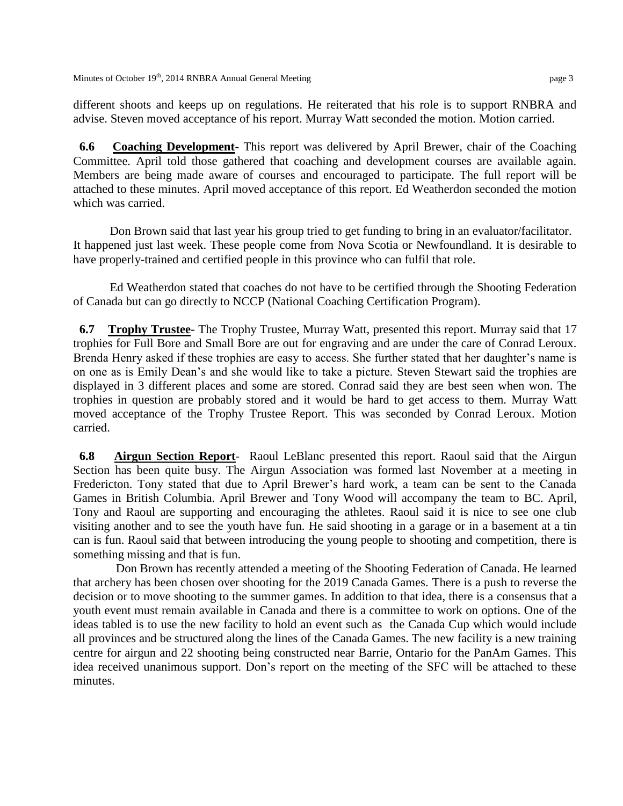different shoots and keeps up on regulations. He reiterated that his role is to support RNBRA and advise. Steven moved acceptance of his report. Murray Watt seconded the motion. Motion carried.

 **6.6 Coaching Development-** This report was delivered by April Brewer, chair of the Coaching Committee. April told those gathered that coaching and development courses are available again. Members are being made aware of courses and encouraged to participate. The full report will be attached to these minutes. April moved acceptance of this report. Ed Weatherdon seconded the motion which was carried.

 Don Brown said that last year his group tried to get funding to bring in an evaluator/facilitator. It happened just last week. These people come from Nova Scotia or Newfoundland. It is desirable to have properly-trained and certified people in this province who can fulfil that role.

 Ed Weatherdon stated that coaches do not have to be certified through the Shooting Federation of Canada but can go directly to NCCP (National Coaching Certification Program).

 **6.7 Trophy Trustee-** The Trophy Trustee, Murray Watt, presented this report. Murray said that 17 trophies for Full Bore and Small Bore are out for engraving and are under the care of Conrad Leroux. Brenda Henry asked if these trophies are easy to access. She further stated that her daughter's name is on one as is Emily Dean's and she would like to take a picture. Steven Stewart said the trophies are displayed in 3 different places and some are stored. Conrad said they are best seen when won. The trophies in question are probably stored and it would be hard to get access to them. Murray Watt moved acceptance of the Trophy Trustee Report. This was seconded by Conrad Leroux. Motion carried.

 **6.8 Airgun Section Report**- Raoul LeBlanc presented this report. Raoul said that the Airgun Section has been quite busy. The Airgun Association was formed last November at a meeting in Fredericton. Tony stated that due to April Brewer's hard work, a team can be sent to the Canada Games in British Columbia. April Brewer and Tony Wood will accompany the team to BC. April, Tony and Raoul are supporting and encouraging the athletes. Raoul said it is nice to see one club visiting another and to see the youth have fun. He said shooting in a garage or in a basement at a tin can is fun. Raoul said that between introducing the young people to shooting and competition, there is something missing and that is fun.

 Don Brown has recently attended a meeting of the Shooting Federation of Canada. He learned that archery has been chosen over shooting for the 2019 Canada Games. There is a push to reverse the decision or to move shooting to the summer games. In addition to that idea, there is a consensus that a youth event must remain available in Canada and there is a committee to work on options. One of the ideas tabled is to use the new facility to hold an event such as the Canada Cup which would include all provinces and be structured along the lines of the Canada Games. The new facility is a new training centre for airgun and 22 shooting being constructed near Barrie, Ontario for the PanAm Games. This idea received unanimous support. Don's report on the meeting of the SFC will be attached to these minutes.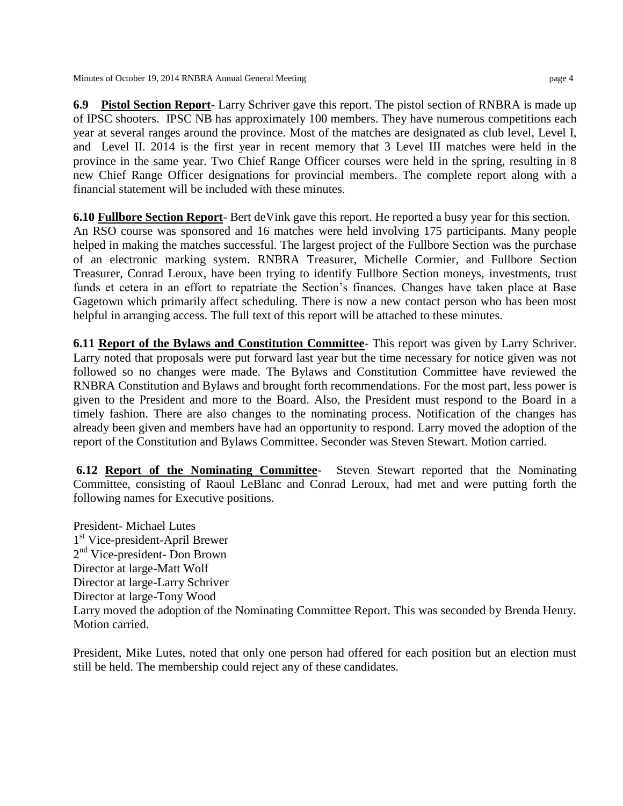**6.9 Pistol Section Report**- Larry Schriver gave this report. The pistol section of RNBRA is made up of IPSC shooters. IPSC NB has approximately 100 members. They have numerous competitions each year at several ranges around the province. Most of the matches are designated as club level, Level I, and Level II. 2014 is the first year in recent memory that 3 Level III matches were held in the province in the same year. Two Chief Range Officer courses were held in the spring, resulting in 8 new Chief Range Officer designations for provincial members. The complete report along with a financial statement will be included with these minutes.

**6.10 Fullbore Section Report**- Bert deVink gave this report. He reported a busy year for this section. An RSO course was sponsored and 16 matches were held involving 175 participants. Many people helped in making the matches successful. The largest project of the Fullbore Section was the purchase of an electronic marking system. RNBRA Treasurer, Michelle Cormier, and Fullbore Section Treasurer, Conrad Leroux, have been trying to identify Fullbore Section moneys, investments, trust funds et cetera in an effort to repatriate the Section's finances. Changes have taken place at Base Gagetown which primarily affect scheduling. There is now a new contact person who has been most helpful in arranging access. The full text of this report will be attached to these minutes.

**6.11 Report of the Bylaws and Constitution Committee**- This report was given by Larry Schriver. Larry noted that proposals were put forward last year but the time necessary for notice given was not followed so no changes were made. The Bylaws and Constitution Committee have reviewed the RNBRA Constitution and Bylaws and brought forth recommendations. For the most part, less power is given to the President and more to the Board. Also, the President must respond to the Board in a timely fashion. There are also changes to the nominating process. Notification of the changes has already been given and members have had an opportunity to respond. Larry moved the adoption of the report of the Constitution and Bylaws Committee. Seconder was Steven Stewart. Motion carried.

**6.12 Report of the Nominating Committee**- Steven Stewart reported that the Nominating Committee, consisting of Raoul LeBlanc and Conrad Leroux, had met and were putting forth the following names for Executive positions.

President- Michael Lutes 1 st Vice-president-April Brewer 2<sup>nd</sup> Vice-president- Don Brown Director at large-Matt Wolf Director at large-Larry Schriver Director at large-Tony Wood Larry moved the adoption of the Nominating Committee Report. This was seconded by Brenda Henry. Motion carried.

President, Mike Lutes, noted that only one person had offered for each position but an election must still be held. The membership could reject any of these candidates.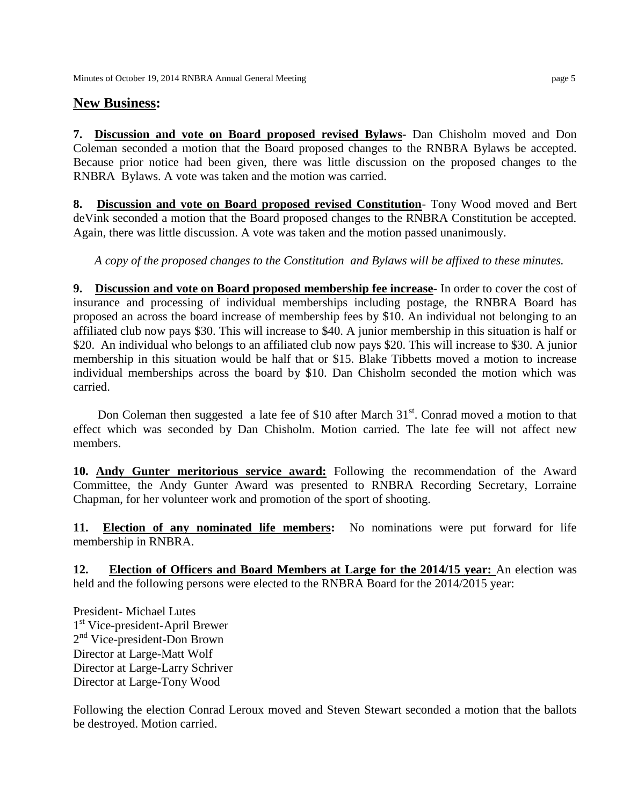## **New Business:**

**7. Discussion and vote on Board proposed revised Bylaws-** Dan Chisholm moved and Don Coleman seconded a motion that the Board proposed changes to the RNBRA Bylaws be accepted. Because prior notice had been given, there was little discussion on the proposed changes to the RNBRA Bylaws. A vote was taken and the motion was carried.

**8. Discussion and vote on Board proposed revised Constitution**- Tony Wood moved and Bert deVink seconded a motion that the Board proposed changes to the RNBRA Constitution be accepted. Again, there was little discussion. A vote was taken and the motion passed unanimously.

*A copy of the proposed changes to the Constitution and Bylaws will be affixed to these minutes.*

**9. Discussion and vote on Board proposed membership fee increase**- In order to cover the cost of insurance and processing of individual memberships including postage, the RNBRA Board has proposed an across the board increase of membership fees by \$10. An individual not belonging to an affiliated club now pays \$30. This will increase to \$40. A junior membership in this situation is half or \$20. An individual who belongs to an affiliated club now pays \$20. This will increase to \$30. A junior membership in this situation would be half that or \$15. Blake Tibbetts moved a motion to increase individual memberships across the board by \$10. Dan Chisholm seconded the motion which was carried.

Don Coleman then suggested a late fee of \$10 after March  $31<sup>st</sup>$ . Conrad moved a motion to that effect which was seconded by Dan Chisholm. Motion carried. The late fee will not affect new members.

**10. Andy Gunter meritorious service award:** Following the recommendation of the Award Committee, the Andy Gunter Award was presented to RNBRA Recording Secretary, Lorraine Chapman, for her volunteer work and promotion of the sport of shooting.

**11. Election of any nominated life members:** No nominations were put forward for life membership in RNBRA.

**12. Election of Officers and Board Members at Large for the 2014/15 year:** An election was held and the following persons were elected to the RNBRA Board for the 2014/2015 year:

President- Michael Lutes 1 st Vice-president-April Brewer 2<sup>nd</sup> Vice-president-Don Brown Director at Large-Matt Wolf Director at Large-Larry Schriver Director at Large-Tony Wood

Following the election Conrad Leroux moved and Steven Stewart seconded a motion that the ballots be destroyed. Motion carried.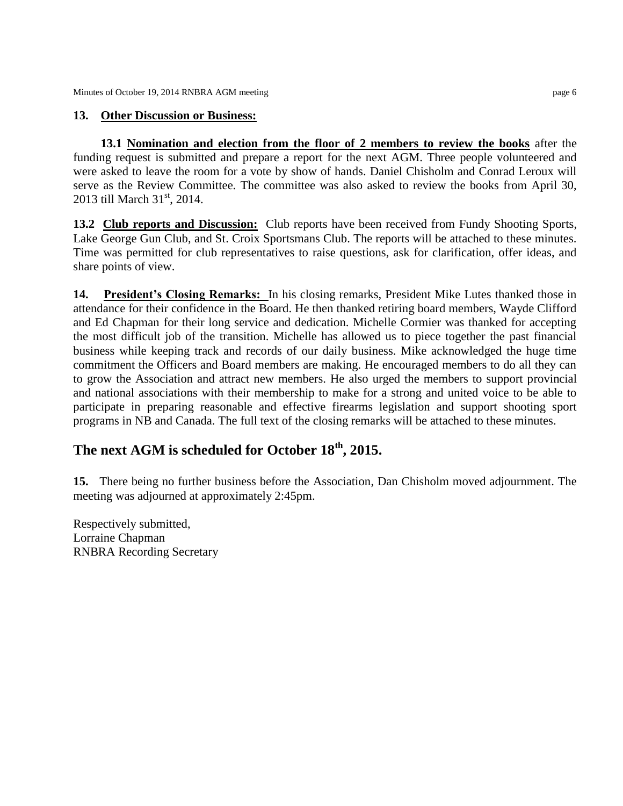## **13. Other Discussion or Business:**

 **13.1 Nomination and election from the floor of 2 members to review the books** after the funding request is submitted and prepare a report for the next AGM. Three people volunteered and were asked to leave the room for a vote by show of hands. Daniel Chisholm and Conrad Leroux will serve as the Review Committee. The committee was also asked to review the books from April 30, 2013 till March 31<sup>st</sup>, 2014.

**13.2 Club reports and Discussion:** Club reports have been received from Fundy Shooting Sports, Lake George Gun Club, and St. Croix Sportsmans Club. The reports will be attached to these minutes. Time was permitted for club representatives to raise questions, ask for clarification, offer ideas, and share points of view.

**14. President's Closing Remarks:** In his closing remarks, President Mike Lutes thanked those in attendance for their confidence in the Board. He then thanked retiring board members, Wayde Clifford and Ed Chapman for their long service and dedication. Michelle Cormier was thanked for accepting the most difficult job of the transition. Michelle has allowed us to piece together the past financial business while keeping track and records of our daily business. Mike acknowledged the huge time commitment the Officers and Board members are making. He encouraged members to do all they can to grow the Association and attract new members. He also urged the members to support provincial and national associations with their membership to make for a strong and united voice to be able to participate in preparing reasonable and effective firearms legislation and support shooting sport programs in NB and Canada. The full text of the closing remarks will be attached to these minutes.

## **The next AGM is scheduled for October 18th, 2015.**

**15.** There being no further business before the Association, Dan Chisholm moved adjournment. The meeting was adjourned at approximately 2:45pm.

Respectively submitted, Lorraine Chapman RNBRA Recording Secretary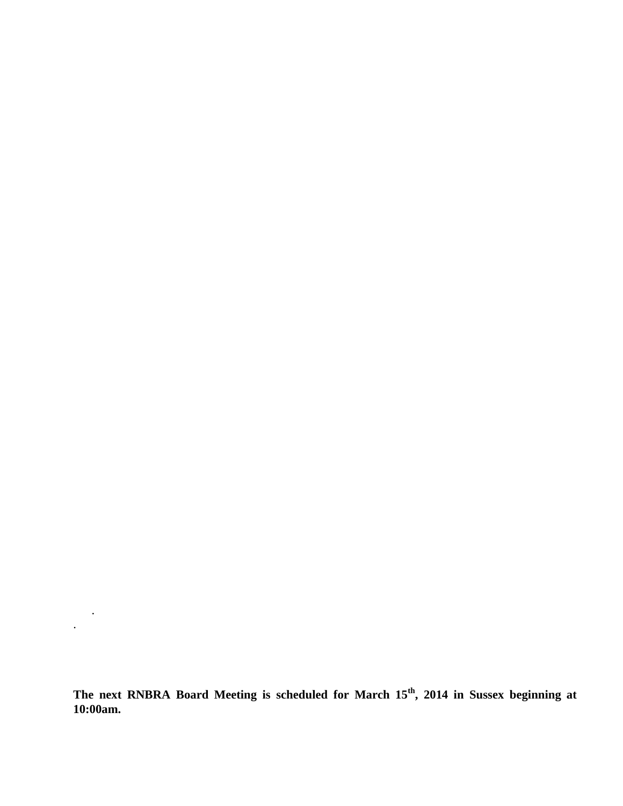**The next RNBRA Board Meeting is scheduled for March 15th, 2014 in Sussex beginning at 10:00am.**

.

.